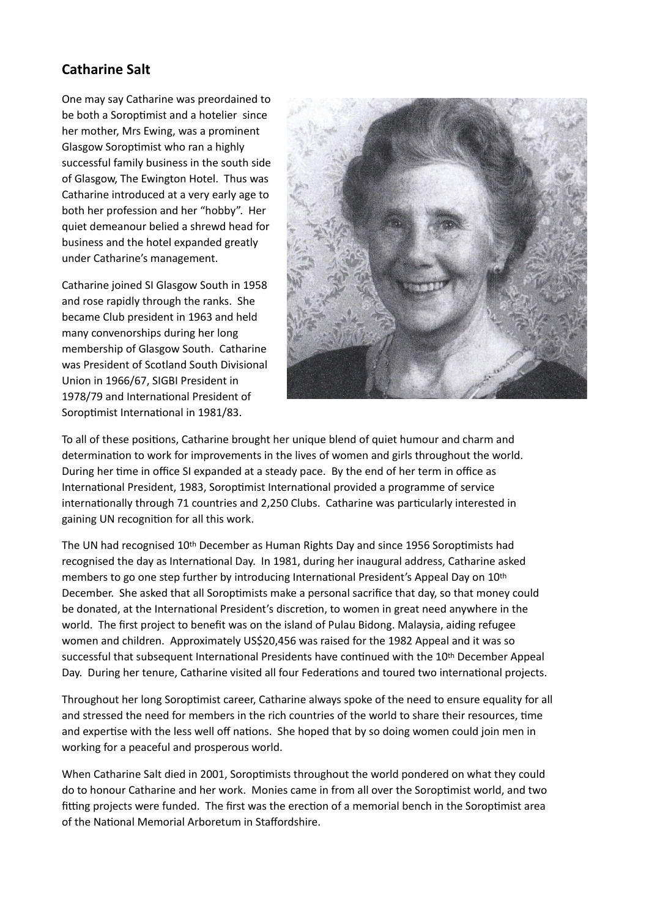## **Catharine Salt**

One may say Catharine was preordained to be both a Soroptimist and a hotelier since her mother, Mrs Ewing, was a prominent Glasgow Soroptimist who ran a highly successful family business in the south side of Glasgow, The Ewington Hotel. Thus was Catharine introduced at a very early age to both her profession and her "hobby". Her quiet demeanour belied a shrewd head for business and the hotel expanded greatly under Catharine's management.

Catharine joined SI Glasgow South in 1958 and rose rapidly through the ranks. She became Club president in 1963 and held many convenorships during her long membership of Glasgow South. Catharine was President of Scotland South Divisional Union in 1966/67, SIGBI President in 1978/79 and International President of Soroptimist International in 1981/83.



To all of these positions, Catharine brought her unique blend of quiet humour and charm and determination to work for improvements in the lives of women and girls throughout the world. During her time in office SI expanded at a steady pace. By the end of her term in office as International President, 1983, Soroptimist International provided a programme of service internationally through 71 countries and 2,250 Clubs. Catharine was particularly interested in gaining UN recognition for all this work.

The UN had recognised 10<sup>th</sup> December as Human Rights Day and since 1956 Soroptimists had recognised the day as International Day. In 1981, during her inaugural address, Catharine asked members to go one step further by introducing International President's Appeal Day on 10th December. She asked that all Soroptimists make a personal sacrifice that day, so that money could be donated, at the International President's discretion, to women in great need anywhere in the world. The first project to benefit was on the island of Pulau Bidong. Malaysia, aiding refugee women and children. Approximately US\$20,456 was raised for the 1982 Appeal and it was so successful that subsequent International Presidents have continued with the 10<sup>th</sup> December Appeal Day. During her tenure, Catharine visited all four Federations and toured two international projects.

Throughout her long Soroptimist career, Catharine always spoke of the need to ensure equality for all and stressed the need for members in the rich countries of the world to share their resources, time and expertise with the less well off nations. She hoped that by so doing women could join men in working for a peaceful and prosperous world.

When Catharine Salt died in 2001, Soroptimists throughout the world pondered on what they could do to honour Catharine and her work. Monies came in from all over the Soroptimist world, and two fitting projects were funded. The first was the erection of a memorial bench in the Soroptimist area of the National Memorial Arboretum in Staffordshire.